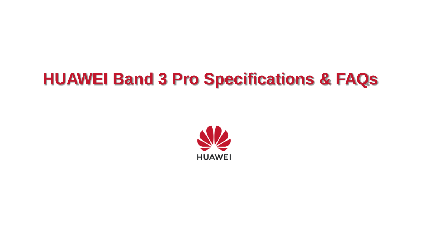# **HUAWEI Band 3 Pro Specifications & FAQs**

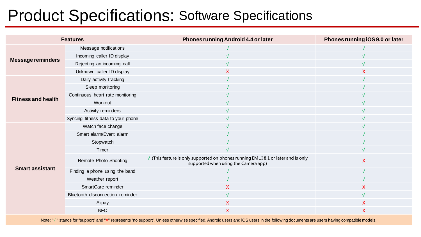# Product Specifications: Software Specifications

| <b>Features</b>           |                                    | Phones running Android 4.4 or later                                                                                               | Phones running iOS 9.0 or later |
|---------------------------|------------------------------------|-----------------------------------------------------------------------------------------------------------------------------------|---------------------------------|
| <b>Message reminders</b>  | Message notifications              |                                                                                                                                   |                                 |
|                           | Incoming caller ID display         | $\sqrt{2}$                                                                                                                        |                                 |
|                           | Rejecting an incoming call         |                                                                                                                                   |                                 |
|                           | Unknown caller ID display          | $\mathsf{x}$                                                                                                                      | X                               |
| <b>Fitness and health</b> | Daily activity tracking            | $\sqrt{ }$                                                                                                                        |                                 |
|                           | Sleep monitoring                   |                                                                                                                                   |                                 |
|                           | Continuous heart rate monitoring   |                                                                                                                                   |                                 |
|                           | Workout                            |                                                                                                                                   |                                 |
|                           | Activity reminders                 |                                                                                                                                   |                                 |
|                           | Syncing fitness data to your phone |                                                                                                                                   |                                 |
| <b>Smart assistant</b>    | Watch face change                  |                                                                                                                                   |                                 |
|                           | Smart alarm/Event alarm            |                                                                                                                                   |                                 |
|                           | Stopwatch                          |                                                                                                                                   |                                 |
|                           | Timer                              |                                                                                                                                   |                                 |
|                           | Remote Photo Shooting              | $\sqrt{}$ (This feature is only supported on phones running EMUI 8.1 or later and is only<br>supported when using the Camera app) | X                               |
|                           | Finding a phone using the band     |                                                                                                                                   | N.                              |
|                           | Weather report                     |                                                                                                                                   | √                               |
|                           | SmartCare reminder                 | $\mathsf{X}$                                                                                                                      | X                               |
|                           | Bluetooth disconnection reminder   |                                                                                                                                   |                                 |
|                           | Alipay                             | X                                                                                                                                 | X                               |
|                           | <b>NFC</b>                         | X                                                                                                                                 | X                               |

Note: " $\sqrt$ " stands for "support" and "X" represents "no support". Unless otherwise specified, Android users and iOS users in the following documents are users having compatible models.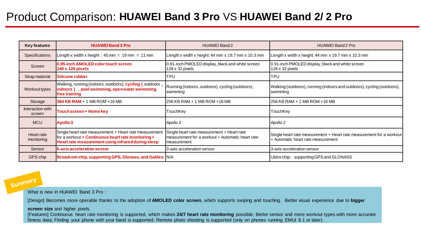### Product Comparison: **HUAWEI Band 3 Pro** VS **HUAWEI Band 2/ 2 Pro**

| <b>Key features</b>        | <b>HUAWEI Band 3 Pro</b>                                                                                                                                           | HUAWEI Band 2                                                                                                 | <b>HUAWEI Band 2 Pro</b>                                                                                   |
|----------------------------|--------------------------------------------------------------------------------------------------------------------------------------------------------------------|---------------------------------------------------------------------------------------------------------------|------------------------------------------------------------------------------------------------------------|
| <b>Specifications</b>      | Length x width x height : 45 mm $\times$ 19 mm $\times$ 11 mm                                                                                                      | Length x width x height: 44 mm x 19.7 mm x 10.3 mm                                                            | Length x width x height: 44 mm x 19.7 mm x 10.3 mm                                                         |
| Screen                     | 0.95-inch AMOLED color touch screen<br>240 x 120 pixels                                                                                                            | 0.91-inch PMOLED display, black and white screen<br>128 x 32 pixels                                           | 0.91-inch PMOLED display, black and white screen<br>128 x 32 pixels                                        |
| Strap material             | Silicone rubber                                                                                                                                                    | TPU                                                                                                           | <b>TPU</b>                                                                                                 |
| Workout types              | Walking, running (indoors, outdoors), cycling (outdoors,<br>indoors), pool swimming, open water swimming,<br>free training                                         | Running (indoors, outdoors), cycling (outdoors),<br>swimming                                                  | Walking (outdoors), running (indoors and outdoors), cycling (outdoors),<br>swimming                        |
| Storage                    | 384 KB RAM + 1 MB ROM + 16 MB                                                                                                                                      | 256 KB RAM + 1 MB ROM + 16 MB                                                                                 | 256 KB RAM + 1 MB ROM + 16 MB                                                                              |
| Interaction with<br>screen | Touch screen + Home key                                                                                                                                            | TouchKey                                                                                                      | TouchKey                                                                                                   |
| <b>MCU</b>                 | <b>Apollo 3</b>                                                                                                                                                    | Apollo 2                                                                                                      | Apollo 2                                                                                                   |
| Heart rate<br>monitoring   | Single heart rate measurement + Heart rate measurement<br>for a workout + Continuous heart rate monitoring +<br>Heart rate measurement using infrared during sleep | Single heart rate measurement + Heart rate<br>measurement for a workout + Automatic heart rate<br>measurement | Single heart rate measurement + Heart rate measurement for a workout<br>+ Automatic heart rate measurement |
| Sensor                     | 6-axis acceleration sensor                                                                                                                                         | 3-axis acceleration sensor                                                                                    | 13-axis acceleration sensor                                                                                |
| GPS chip                   | Broadcom chip, supporting GPS, Glonass, and Galileo N/A                                                                                                            |                                                                                                               | Ublox chip, supporting GPS and GLONASS                                                                     |

Summary

What is new in HUAWEI Band 3 Pro:

[Design] Becomes more operable thanks to the adoption of **AMOLED color screen**, which supports swiping and touching. Better visual experience due to **bigger** 

**screen size** and higher pixels.

[Features] Continuous heart rate monitoring is supported, which makes **24/7 heart rate monitoring** possible; Better sensor and more workout types with more accurate fitness data; Finding your phone with your band is supported; Remote photo shooting is supported (only on phones running EMUI 8.1 or later).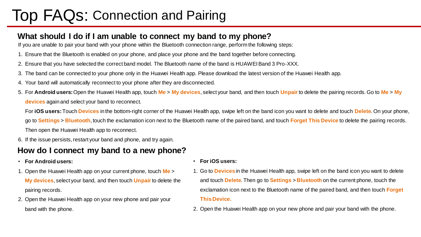# Top FAQs: Connection and Pairing

### **What should I do if I am unable to connect my band to my phone?**

If you are unable to pair your band with your phone within the Bluetooth connection range, perform the following steps:

- 1. Ensure that the Bluetooth is enabled on your phone, and place your phone and the band together before connecting.
- 2. Ensure that you have selected the correct band model. The Bluetooth name of the band is HUAWEI Band 3 Pro-XXX.
- 3. The band can be connected to your phone only in the Huawei Health app. Please download the latest version of the Huawei Health app.
- 4. Your band will automatically reconnect to your phone after they are disconnected.
- 5. For **Android users:**Open the Huawei Health app, touch **Me** > **My devices**, select your band, and then touch **Unpair**to delete the pairing records. Go to **Me** > **My devices** again and select your band to reconnect.

For **iOS users:** Touch **Devices** in the bottom-right corner of the Huawei Health app, swipe left on the band icon you want to delete and touch **Delete**. On your phone,

go to **Settings** > **Bluetooth**, touch the exclamation icon next to the Bluetooth name of the paired band, and touch **Forget This Device** to delete the pairing records.

Then open the Huawei Health app to reconnect.

6. If the issue persists, restart your band and phone, and try again.

### **How do I connect my band to a new phone?**

• **For Android users:**

- **For iOS users:**
- 1. Open the Huawei Health app on your current phone, touch **Me** > **My devices**, select your band, and then touch **Unpair**to delete the pairing records.
- 2. Open the Huawei Health app on your new phone and pair your band with the phone.
- 1. Go to **Devices**in the Huawei Health app, swipe left on the band icon you want to delete and touch **Delete**. Then go to **Settings** > **Bluetooth** on the current phone, touch the exclamation icon next to the Bluetooth name of the paired band, and then touch **Forget This Device.**
- 2. Open the Huawei Health app on your new phone and pair your band with the phone.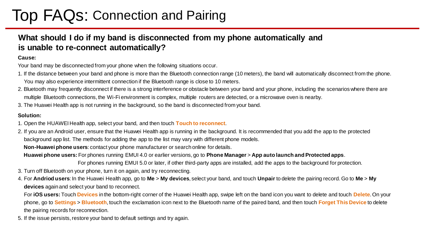# Top FAQs: Connection and Pairing

### **What should I do if my band is disconnected from my phone automatically and is unable to re-connect automatically?**

#### **Cause:**

Your band may be disconnected from your phone when the following situations occur.

- 1. If the distance between your band and phone is more than the Bluetooth connection range (10 meters), the band will automatically disconnect from the phone. You may also experience intermittent connection if the Bluetooth range is close to 10 meters.
- 2. Bluetooth may frequently disconnect if there is a strong interference or obstacle between your band and your phone, including the scenarios where there are multiple Bluetooth connections, the Wi-Fi environment is complex, multiple routers are detected, or a microwave oven is nearby.
- 3. The Huawei Health app is not running in the background, so the band is disconnected from your band.

#### **Solution:**

- 1. Open the HUAWEI Health app, select your band, and then touch **Touch to reconnect**.
- 2. If you are an Android user, ensure that the Huawei Health app is running in the background. It is recommended that you add the app to the protected background app list. The methods for adding the app to the list may vary with different phone models.

**Non-Huawei phone users**: contact your phone manufacturer or search online for details.

**Huawei phone users:** For phones running EMUI 4.0 or earlier versions, go to **Phone Manager** > **App auto launch and Protected apps**.

For phones running EMUI 5.0 or later, if other third-party apps are installed, add the apps to the background for protection.

- 3. Turn off Bluetooth on your phone, turn it on again, and try reconnecting.
- 4. For **Andriod users**: In the Huawei Health app, go to **Me** > **My devices**, select your band, and touch **Unpair** to delete the pairing record. Go to **Me** > **My devices** again and select your band to reconnect.

For **iOS users:** Touch **Devices** in the bottom-right corner of the Huawei Health app, swipe left on the band icon you want to delete and touch **Delete**. On your phone, go to **Settings** > **Bluetooth**, touch the exclamation icon next to the Bluetooth name of the paired band, and then touch **Forget This Device** to delete the pairing records for reconnection.

5. If the issue persists, restore your band to default settings and try again.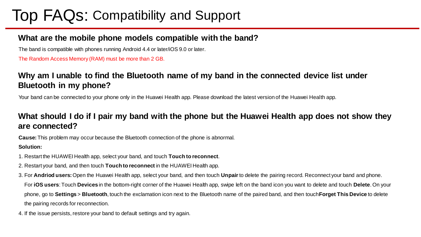# Top FAQs: Compatibility and Support

### **What are the mobile phone models compatible with the band?**

The band is compatible with phones running Android 4.4 or later/iOS 9.0 or later.

The Random Access Memory (RAM) must be more than 2 GB.

### **Why am I unable to find the Bluetooth name of my band in the connected device list under Bluetooth in my phone?**

Your band can be connected to your phone only in the Huawei Health app. Please download the latest version of the Huawei Health app.

### **What should I do if I pair my band with the phone but the Huawei Health app does not show they are connected?**

**Cause:**This problem may occur because the Bluetooth connection of the phone is abnormal.

#### **Solution:**

- 1. Restart the HUAWEI Health app, select your band, and touch **Touch to reconnect**.
- 2. Restart your band, and then touch **Touch to reconnect** in the HUAWEI Health app.
- 3. For **Andriod users:** Open the Huawei Health app, select your band, and then touch **Unpair**to delete the pairing record. Reconnect your band and phone.
- For **iOS users**: Touch **Devices** in the bottom-right corner of the Huawei Health app, swipe left on the band icon you want to delete and touch **Delete**. On your phone, go to **Settings** > **Bluetooth**, touch the exclamation icon next to the Bluetooth name of the paired band, and then touch **Forget This Device** to delete the pairing records for reconnection.
- 4. If the issue persists, restore your band to default settings and try again.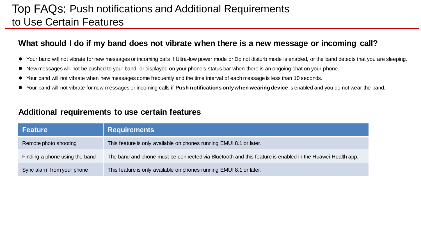### Top FAQs: Push notifications and Additional Requirements to Use Certain Features

### **What should I do if my band does not vibrate when there is a new message or incoming call?**

- Your band will not vibrate for new messages or incoming calls if Ultra-low power mode or Do not disturb mode is enabled, or the band detects that you are sleeping.
- New messages will not be pushed to your band, or displayed on your phone's status bar when there is an ongoing chat on your phone.
- Your band will not vibrate when new messages come frequently and the time interval of each message is less than 10 seconds.
- Your band will not vibrate for new messages or incoming calls if **Push notifications only when wearing device** is enabled and you do not wear the band.

### **Additional requirements to use certain features**

| <b>Feature</b>                 | <b>Requirements</b>                                                                                      |
|--------------------------------|----------------------------------------------------------------------------------------------------------|
| Remote photo shooting          | This feature is only available on phones running EMUI 8.1 or later.                                      |
| Finding a phone using the band | The band and phone must be connected via Bluetooth and this feature is enabled in the Huawei Health app. |
| Sync alarm from your phone     | This feature is only available on phones running EMUI 8.1 or later.                                      |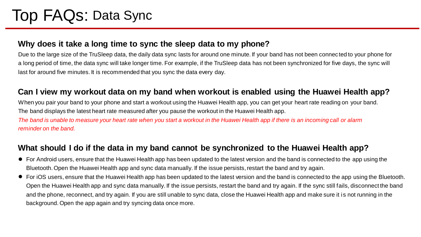# Top FAQs: Data Sync

#### **Why does it take a long time to sync the sleep data to my phone?**

Due to the large size of the TruSleep data, the daily data sync lasts for around one minute. If your band has not been connectedto your phone for a long period of time, the data sync will take longer time. For example, if the TruSleep data has not been synchronized for five days, the sync will last for around five minutes. It is recommended that you sync the data every day.

#### **Can I view my workout data on my band when workout is enabled using the Huawei Health app?**

When you pair your band to your phone and start a workout using the Huawei Health app, you can get your heart rate reading on your band. The band displays the latest heart rate measured after you pause the workout in the Huawei Health app.

*The band is unable to measure your heart rate when you start a workout in the Huawei Health app if there is an incoming call or alarm reminder on the band.*

### **What should I do if the data in my band cannot be synchronized to the Huawei Health app?**

- For Android users, ensure that the Huawei Health app has been updated to the latest version and the band is connected to the app using the Bluetooth. Open the Huawei Health app and sync data manually. If the issue persists, restart the band and try again.
- For iOS users, ensure that the Huawei Health app has been updated to the latest version and the band is connected to the app using the Bluetooth. Open the Huawei Health app and sync data manually. If the issue persists, restart the band and try again. If the sync still fails, disconnect the band and the phone, reconnect, and try again. If you are still unable to sync data, close the Huawei Health app and make sure it is not running in the background. Open the app again and try syncing data once more.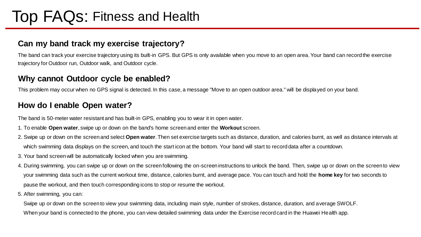### Top FAQs: Fitness and Health

### **Can my band track my exercise trajectory?**

The band can track your exercise trajectory using its built-in GPS. But GPS is only available when you move to an open area. Your band can record the exercise trajectory for Outdoor run, Outdoor walk, and Outdoor cycle.

#### **Why cannot Outdoor cycle be enabled?**

This problem may occur when no GPS signal is detected. In this case, a message "Move to an open outdoor area." will be displayed on your band.

### **How do I enable Open water?**

The band is 50-meter water resistant and has built-in GPS, enabling you to wear it in open water.

- 1. To enable **Open water**, swipe up or down on the band's home screen and enter the **Workout** screen.
- 2. Swipe up or down on the screen and select **Open water**. Then set exercise targets such as distance, duration, and calories burnt, as well as distance intervals at which swimming data displays on the screen, and touch the start icon at the bottom. Your band will start to record data after a countdown.
- 3. Your band screen will be automatically locked when you are swimming.
- 4. During swimming, you can swipe up or down on the screen following the on-screen instructions to unlock the band. Then, swipe up or down on the screen to view your swimming data such as the current workout time, distance, calories burnt, and average pace. You can touch and hold the **home key** for two seconds to pause the workout, and then touch corresponding icons to stop or resume the workout.
- 5. After swimming, you can:

Swipe up or down on the screen to view your swimming data, including main style, number of strokes, distance, duration, and average SWOLF. When your band is connected to the phone, you can view detailed swimming data under the Exercise record card in the Huawei Health app.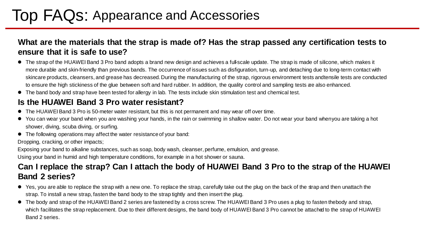## Top FAQs: Appearance and Accessories

### **What are the materials that the strap is made of? Has the strap passed any certification tests to ensure that it is safe to use?**

- The strap of the HUAWEI Band 3 Pro band adopts a brand new design and achieves a full-scale update. The strap is made of silicone, which makes it more durable and skin-friendly than previous bands. The occurrence of issues such as disfiguration, turn-up, and detaching due to long-term contact with skincare products, cleansers, and grease has decreased. During the manufacturing of the strap, rigorous environment tests andtensile tests are conducted to ensure the high stickiness of the glue between soft and hard rubber. In addition, the quality control and sampling tests are also enhanced.
- The band body and strap have been tested for allergy in lab. The tests include skin stimulation test and chemical test.

### **Is the HUAWEI Band 3 Pro water resistant?**

- The HUAWEI Band 3 Pro is 50-meter water resistant, but this is not permanent and may wear off over time.
- You can wear your band when you are washing your hands, in the rain or swimming in shallow water. Do not wear your band when you are taking a hot shower, diving, scuba diving, or surfing.
- The following operations may affect the water resistance of your band:

Dropping, cracking, or other impacts;

Exposing your band to alkaline substances, such as soap, body wash, cleanser, perfume, emulsion, and grease.

Using your band in humid and high temperature conditions, for example in a hot shower or sauna.

### **Can I replace the strap? Can I attach the body of HUAWEI Band 3 Pro to the strap of the HUAWEI Band 2 series?**

- Yes, you are able to replace the strap with a new one. To replace the strap, carefully take out the plug on the back of the strap and then unattach the strap. To install a new strap, fasten the band body to the strap tightly and then insert the plug.
- The body and strap of the HUAWEI Band 2 series are fastened by a cross screw. The HUAWEI Band 3 Pro uses a plug to fasten thebody and strap, which facilitates the strap replacement. Due to their different designs, the band body of HUAWEI Band 3 Pro cannot be attached to the strap of HUAWEI Band 2 series.